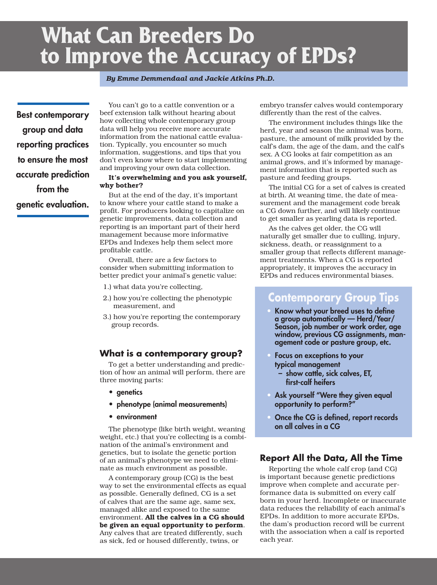# **What Can Breeders Do to Improve the Accuracy of EPDs?**

#### *By Emme Demmendaal and Jackie Atkins Ph.D.*

**Best contemporary group and data reporting practices to ensure the most accurate prediction from the genetic evaluation.**

 You can't go to a cattle convention or a beef extension talk without hearing about how collecting whole contemporary group data will help you receive more accurate information from the national cattle evaluation. Typically, you encounter so much information, suggestions, and tips that you don't even know where to start implementing and improving your own data collection.

#### **It's overwhelming and you ask yourself, why bother?**

 But at the end of the day, it's important to know where your cattle stand to make a profit. For producers looking to capitalize on genetic improvements, data collection and reporting is an important part of their herd management because more informative EPDs and Indexes help them select more profitable cattle.

 Overall, there are a few factors to consider when submitting information to better predict your animal's genetic value:

- 1.) what data you're collecting,
- 2.) how you're collecting the phenotypic measurement, and
- 3.) how you're reporting the contemporary group records.

#### **What is a contemporary group?**

 To get a better understanding and prediction of how an animal will perform, there are three moving parts:

- **• genetics**
- **• phenotype (animal measurements)**
- **• environment**

 The phenotype (like birth weight, weaning weight, etc.) that you're collecting is a combination of the animal's environment and genetics, but to isolate the genetic portion of an animal's phenotype we need to eliminate as much environment as possible.

 A contemporary group (CG) is the best way to set the environmental effects as equal as possible. Generally defined, CG is a set of calves that are the same age, same sex, managed alike and exposed to the same environment. **All the calves in a CG should be given an equal opportunity to perform**. Any calves that are treated differently, such as sick, fed or housed differently, twins, or

embryo transfer calves would contemporary differently than the rest of the calves.

 The environment includes things like the herd, year and season the animal was born, pasture, the amount of milk provided by the calf's dam, the age of the dam, and the calf's sex. A CG looks at fair competition as an animal grows, and it's informed by management information that is reported such as pasture and feeding groups.

 The initial CG for a set of calves is created at birth. At weaning time, the date of measurement and the management code break a CG down further, and will likely continue to get smaller as yearling data is reported.

 As the calves get older, the CG will naturally get smaller due to culling, injury, sickness, death, or reassignment to a smaller group that reflects different management treatments. When a CG is reported appropriately, it improves the accuracy in EPDs and reduces environmental biases.

## **Contemporary Group Tips**

- **• Know what your breed uses to define a group automatically — Herd/Year/ Season, job number or work order, age window, previous CG assignments, management code or pasture group, etc.**
- **• Focus on exceptions to your typical management**
	- **– show cattle, sick calves, ET, first-calf heifers**
- **• Ask yourself "Were they given equal opportunity to perform?"**
- **• Once the CG is defined, report records on all calves in a CG**

#### **Report All the Data, All the Time**

 Reporting the whole calf crop (and CG) is important because genetic predictions improve when complete and accurate performance data is submitted on every calf born in your herd. Incomplete or inaccurate data reduces the reliability of each animal's EPDs. In addition to more accurate EPDs, the dam's production record will be current with the association when a calf is reported each year.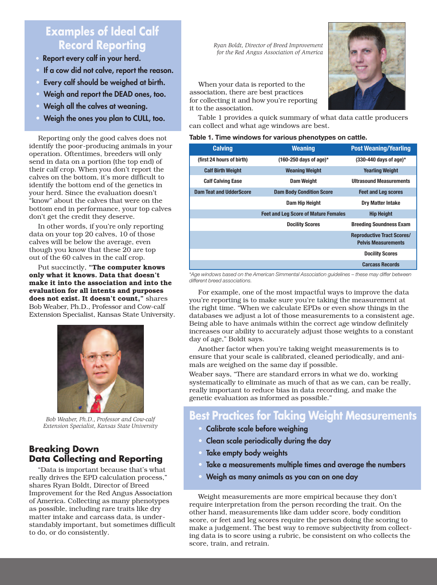# **Examples of Ideal Calf Record Reporting**

- **Report every calf in your herd.**
- **• If a cow did not calve, report the reason.**
- **• Every calf should be weighed at birth.**
- **• Weigh and report the DEAD ones, too.**
- **• Weigh all the calves at weaning.**
- **• Weigh the ones you plan to CULL, too.**

 Reporting only the good calves does not identify the poor-producing animals in your operation. Oftentimes, breeders will only send in data on a portion (the top end) of their calf crop. When you don't report the calves on the bottom, it's more difficult to identify the bottom end of the genetics in your herd. Since the evaluation doesn't "know" about the calves that were on the bottom end in performance, your top calves don't get the credit they deserve.

 In other words, if you're only reporting data on your top 20 calves, 10 of those calves will be below the average, even though you know that these 20 are top out of the 60 calves in the calf crop.

 Put succinctly, **"The computer knows only what it knows. Data that doesn't make it into the association and into the evaluation for all intents and purposes does not exist. It doesn't count,"** shares Bob Weaber, Ph.D., Professor and Cow-calf Extension Specialist, Kansas State University.



*Bob Weaber, Ph.D., Professor and Cow-calf Extension Specialist, Kansas State University*

### **Breaking Down Data Collecting and Reporting**

 "Data is important because that's what really drives the EPD calculation process," shares Ryan Boldt, Director of Breed Improvement for the Red Angus Association of America. Collecting as many phenotypes as possible, including rare traits like dry matter intake and carcass data, is understandably important, but sometimes difficult to do, or do consistently.

*Ryan Boldt, Director of Breed Improvement for the Red Angus Association of America*

 When your data is reported to the association, there are best practices for collecting it and how you're reporting it to the association.



 Table 1 provides a quick summary of what data cattle producers can collect and what age windows are best.

#### **Table 1. Time windows for various phenotypes on cattle.**

| <b>Calving</b>                 | <b>Weaning</b>                              | <b>Post Weaning/Yearling</b>                                    |
|--------------------------------|---------------------------------------------|-----------------------------------------------------------------|
| (first 24 hours of birth)      | $(160-250 \text{ days of age})*$            | $(330-440$ days of age)*                                        |
| <b>Calf Birth Weight</b>       | <b>Weaning Weight</b>                       | <b>Yearling Weight</b>                                          |
| <b>Calf Calving Ease</b>       | <b>Dam Weight</b>                           | <b>Ultrasound Measurements</b>                                  |
| <b>Dam Teat and UdderScore</b> | <b>Dam Body Condition Score</b>             | <b>Feet and Leg scores</b>                                      |
|                                | Dam Hip Height                              | <b>Dry Matter Intake</b>                                        |
|                                | <b>Feet and Leg Score of Mature Females</b> | <b>Hip Height</b>                                               |
|                                | <b>Docility Scores</b>                      | <b>Breeding Soundness Exam</b>                                  |
|                                |                                             | <b>Reproductive Tract Scores/</b><br><b>Pelvis Measurements</b> |
|                                |                                             | <b>Docility Scores</b>                                          |
|                                |                                             | <b>Carcass Records</b>                                          |

*\*Age windows based on the American Simmental Association guidelines – these may differ between different breed associations.*

 For example, one of the most impactful ways to improve the data you're reporting is to make sure you're taking the measurement at the right time. "When we calculate EPDs or even show things in the databases we adjust a lot of those measurements to a consistent age. Being able to have animals within the correct age window definitely increases our ability to accurately adjust those weights to a constant day of age," Boldt says.

 Another factor when you're taking weight measurements is to ensure that your scale is calibrated, cleaned periodically, and animals are weighed on the same day if possible.

Weaber says, "There are standard errors in what we do, working systematically to eliminate as much of that as we can, can be really, really important to reduce bias in data recording, and make the genetic evaluation as informed as possible."

# **Best Practices for Taking Weight Measurements**

- **• Calibrate scale before weighing**
- **• Clean scale periodically during the day**
- **• Take empty body weights**
- **• Take a measurements multiple times and average the numbers**
- **• Weigh as many animals as you can on one day**

 Weight measurements are more empirical because they don't require interpretation from the person recording the trait. On the other hand, measurements like dam udder score, body condition score, or feet and leg scores require the person doing the scoring to make a judgement. The best way to remove subjectivity from collecting data is to score using a rubric, be consistent on who collects the score, train, and retrain.